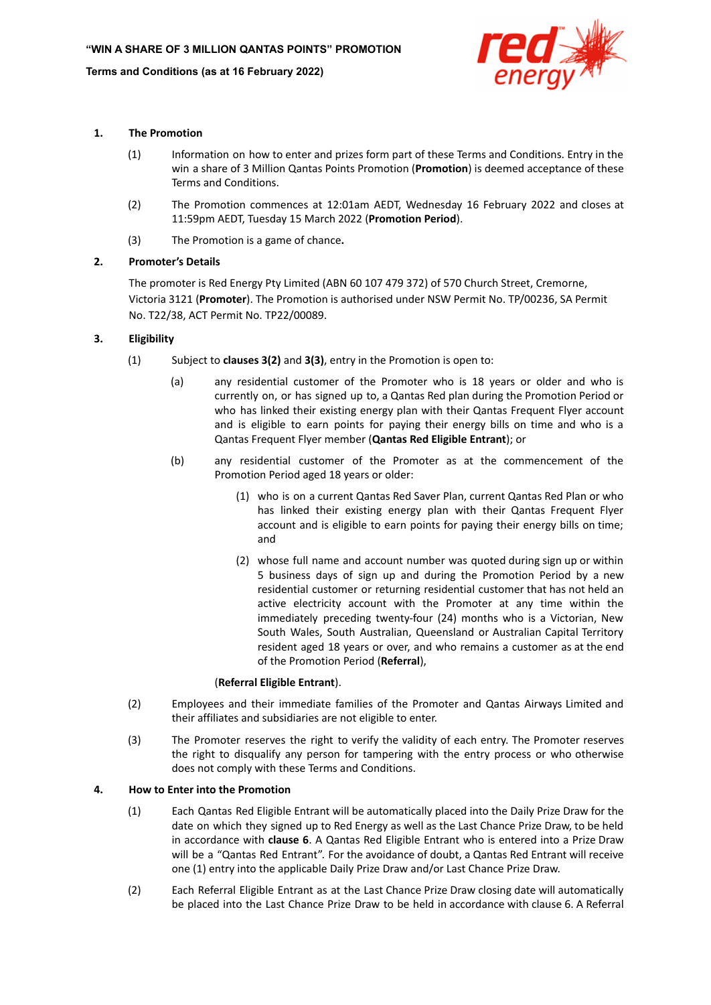

## **1. The Promotion**

- (1) Information on how to enter and prizes form part of these Terms and Conditions. Entry in the win a share of 3 Million Qantas Points Promotion (**Promotion**) is deemed acceptance of these Terms and Conditions.
- (2) The Promotion commences at 12:01am AEDT, Wednesday 16 February 2022 and closes at 11:59pm AEDT, Tuesday 15 March 2022 (**Promotion Period**).
- (3) The Promotion is a game of chance**.**

# **2. Promoter's Details**

The promoter is Red Energy Pty Limited (ABN 60 107 479 372) of 570 Church Street, Cremorne, Victoria 3121 (**Promoter**). The Promotion is authorised under NSW Permit No. TP/00236, SA Permit No. T22/38, ACT Permit No. TP22/00089.

# **3. Eligibility**

- (1) Subject to **clauses 3(2)** and **3(3)**, entry in the Promotion is open to:
	- (a) any residential customer of the Promoter who is 18 years or older and who is currently on, or has signed up to, a Qantas Red plan during the Promotion Period or who has linked their existing energy plan with their Qantas Frequent Flyer account and is eligible to earn points for paying their energy bills on time and who is a Qantas Frequent Flyer member (**Qantas Red Eligible Entrant**); or
	- (b) any residential customer of the Promoter as at the commencement of the Promotion Period aged 18 years or older:
		- (1) who is on a current Qantas Red Saver Plan, current Qantas Red Plan or who has linked their existing energy plan with their Qantas Frequent Flyer account and is eligible to earn points for paying their energy bills on time; and
		- (2) whose full name and account number was quoted during sign up or within 5 business days of sign up and during the Promotion Period by a new residential customer or returning residential customer that has not held an active electricity account with the Promoter at any time within the immediately preceding twenty-four (24) months who is a Victorian, New South Wales, South Australian, Queensland or Australian Capital Territory resident aged 18 years or over, and who remains a customer as at the end of the Promotion Period (**Referral**),

## (**Referral Eligible Entrant**).

- (2) Employees and their immediate families of the Promoter and Qantas Airways Limited and their affiliates and subsidiaries are not eligible to enter.
- (3) The Promoter reserves the right to verify the validity of each entry. The Promoter reserves the right to disqualify any person for tampering with the entry process or who otherwise does not comply with these Terms and Conditions.

# **4. How to Enter into the Promotion**

- (1) Each Qantas Red Eligible Entrant will be automatically placed into the Daily Prize Draw for the date on which they signed up to Red Energy as well as the Last Chance Prize Draw, to be held in accordance with **clause 6**. A Qantas Red Eligible Entrant who is entered into a Prize Draw will be a "Qantas Red Entrant". For the avoidance of doubt, a Qantas Red Entrant will receive one (1) entry into the applicable Daily Prize Draw and/or Last Chance Prize Draw.
- (2) Each Referral Eligible Entrant as at the Last Chance Prize Draw closing date will automatically be placed into the Last Chance Prize Draw to be held in accordance with clause 6. A Referral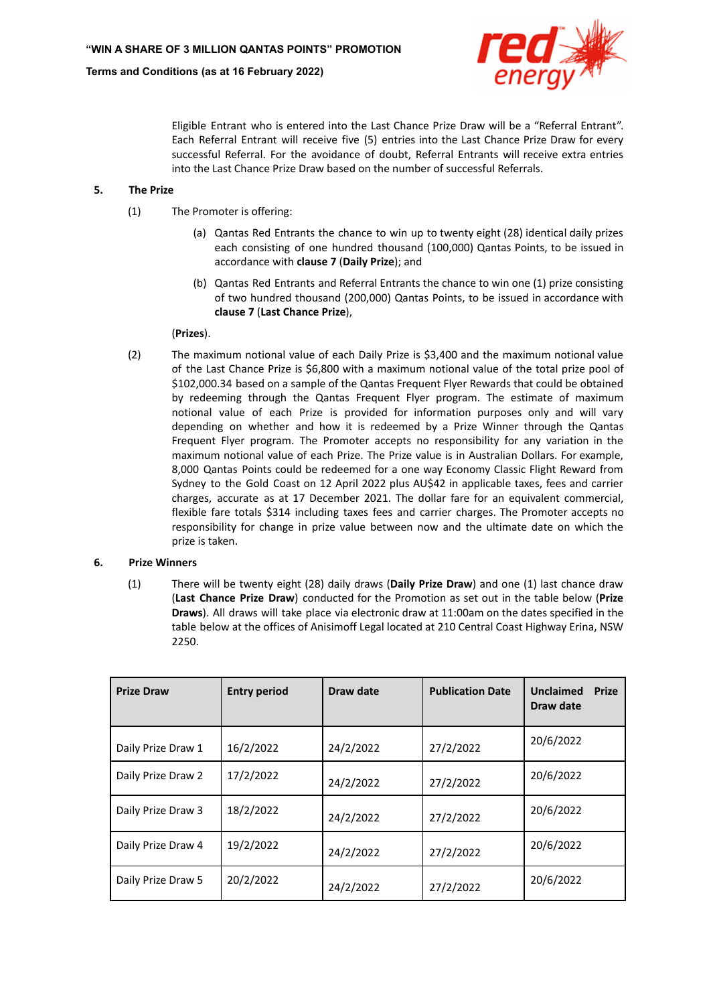

Eligible Entrant who is entered into the Last Chance Prize Draw will be a "Referral Entrant". Each Referral Entrant will receive five (5) entries into the Last Chance Prize Draw for every successful Referral. For the avoidance of doubt, Referral Entrants will receive extra entries into the Last Chance Prize Draw based on the number of successful Referrals.

## **5. The Prize**

- (1) The Promoter is offering:
	- (a) Qantas Red Entrants the chance to win up to twenty eight (28) identical daily prizes each consisting of one hundred thousand (100,000) Qantas Points, to be issued in accordance with **clause 7** (**Daily Prize**); and
	- (b) Qantas Red Entrants and Referral Entrants the chance to win one (1) prize consisting of two hundred thousand (200,000) Qantas Points, to be issued in accordance with **clause 7** (**Last Chance Prize**),

# (**Prizes**).

(2) The maximum notional value of each Daily Prize is \$3,400 and the maximum notional value of the Last Chance Prize is \$6,800 with a maximum notional value of the total prize pool of \$102,000.34 based on a sample of the Qantas Frequent Flyer Rewards that could be obtained by redeeming through the Qantas Frequent Flyer program. The estimate of maximum notional value of each Prize is provided for information purposes only and will vary depending on whether and how it is redeemed by a Prize Winner through the Qantas Frequent Flyer program. The Promoter accepts no responsibility for any variation in the maximum notional value of each Prize. The Prize value is in Australian Dollars. For example, 8,000 Qantas Points could be redeemed for a one way Economy Classic Flight Reward from Sydney to the Gold Coast on 12 April 2022 plus AU\$42 in applicable taxes, fees and carrier charges, accurate as at 17 December 2021. The dollar fare for an equivalent commercial, flexible fare totals \$314 including taxes fees and carrier charges. The Promoter accepts no responsibility for change in prize value between now and the ultimate date on which the prize is taken.

## **6. Prize Winners**

(1) There will be twenty eight (28) daily draws (**Daily Prize Draw**) and one (1) last chance draw (**Last Chance Prize Draw**) conducted for the Promotion as set out in the table below (**Prize Draws**). All draws will take place via electronic draw at 11:00am on the dates specified in the table below at the offices of Anisimoff Legal located at 210 Central Coast Highway Erina, NSW 2250.

| <b>Prize Draw</b>  | <b>Entry period</b> | Draw date | <b>Publication Date</b> | Unclaimed<br><b>Prize</b><br>Draw date |
|--------------------|---------------------|-----------|-------------------------|----------------------------------------|
| Daily Prize Draw 1 | 16/2/2022           | 24/2/2022 | 27/2/2022               | 20/6/2022                              |
| Daily Prize Draw 2 | 17/2/2022           | 24/2/2022 | 27/2/2022               | 20/6/2022                              |
| Daily Prize Draw 3 | 18/2/2022           | 24/2/2022 | 27/2/2022               | 20/6/2022                              |
| Daily Prize Draw 4 | 19/2/2022           | 24/2/2022 | 27/2/2022               | 20/6/2022                              |
| Daily Prize Draw 5 | 20/2/2022           | 24/2/2022 | 27/2/2022               | 20/6/2022                              |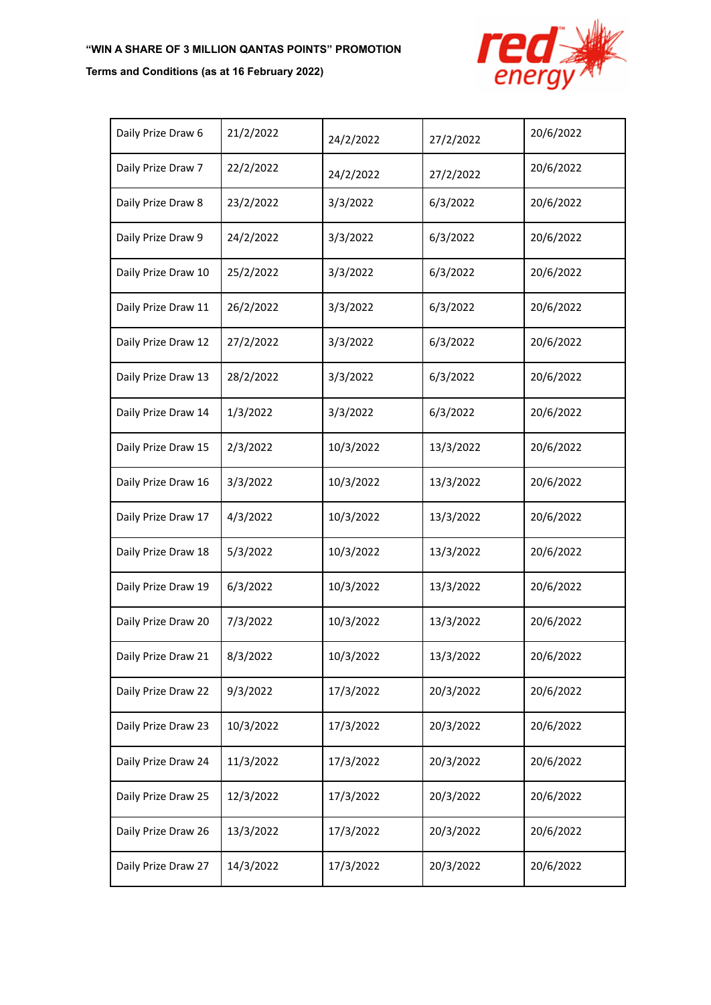# **"WIN A SHARE OF 3 MILLION QANTAS POINTS" PROMOTION**

# **Terms and Conditions (as at 16 February 2022)**



| Daily Prize Draw 6  | 21/2/2022 | 24/2/2022 | 27/2/2022 | 20/6/2022 |
|---------------------|-----------|-----------|-----------|-----------|
| Daily Prize Draw 7  | 22/2/2022 | 24/2/2022 | 27/2/2022 | 20/6/2022 |
| Daily Prize Draw 8  | 23/2/2022 | 3/3/2022  | 6/3/2022  | 20/6/2022 |
| Daily Prize Draw 9  | 24/2/2022 | 3/3/2022  | 6/3/2022  | 20/6/2022 |
| Daily Prize Draw 10 | 25/2/2022 | 3/3/2022  | 6/3/2022  | 20/6/2022 |
| Daily Prize Draw 11 | 26/2/2022 | 3/3/2022  | 6/3/2022  | 20/6/2022 |
| Daily Prize Draw 12 | 27/2/2022 | 3/3/2022  | 6/3/2022  | 20/6/2022 |
| Daily Prize Draw 13 | 28/2/2022 | 3/3/2022  | 6/3/2022  | 20/6/2022 |
| Daily Prize Draw 14 | 1/3/2022  | 3/3/2022  | 6/3/2022  | 20/6/2022 |
| Daily Prize Draw 15 | 2/3/2022  | 10/3/2022 | 13/3/2022 | 20/6/2022 |
| Daily Prize Draw 16 | 3/3/2022  | 10/3/2022 | 13/3/2022 | 20/6/2022 |
| Daily Prize Draw 17 | 4/3/2022  | 10/3/2022 | 13/3/2022 | 20/6/2022 |
| Daily Prize Draw 18 | 5/3/2022  | 10/3/2022 | 13/3/2022 | 20/6/2022 |
| Daily Prize Draw 19 | 6/3/2022  | 10/3/2022 | 13/3/2022 | 20/6/2022 |
| Daily Prize Draw 20 | 7/3/2022  | 10/3/2022 | 13/3/2022 | 20/6/2022 |
| Daily Prize Draw 21 | 8/3/2022  | 10/3/2022 | 13/3/2022 | 20/6/2022 |
| Daily Prize Draw 22 | 9/3/2022  | 17/3/2022 | 20/3/2022 | 20/6/2022 |
| Daily Prize Draw 23 | 10/3/2022 | 17/3/2022 | 20/3/2022 | 20/6/2022 |
| Daily Prize Draw 24 | 11/3/2022 | 17/3/2022 | 20/3/2022 | 20/6/2022 |
| Daily Prize Draw 25 | 12/3/2022 | 17/3/2022 | 20/3/2022 | 20/6/2022 |
| Daily Prize Draw 26 | 13/3/2022 | 17/3/2022 | 20/3/2022 | 20/6/2022 |
| Daily Prize Draw 27 | 14/3/2022 | 17/3/2022 | 20/3/2022 | 20/6/2022 |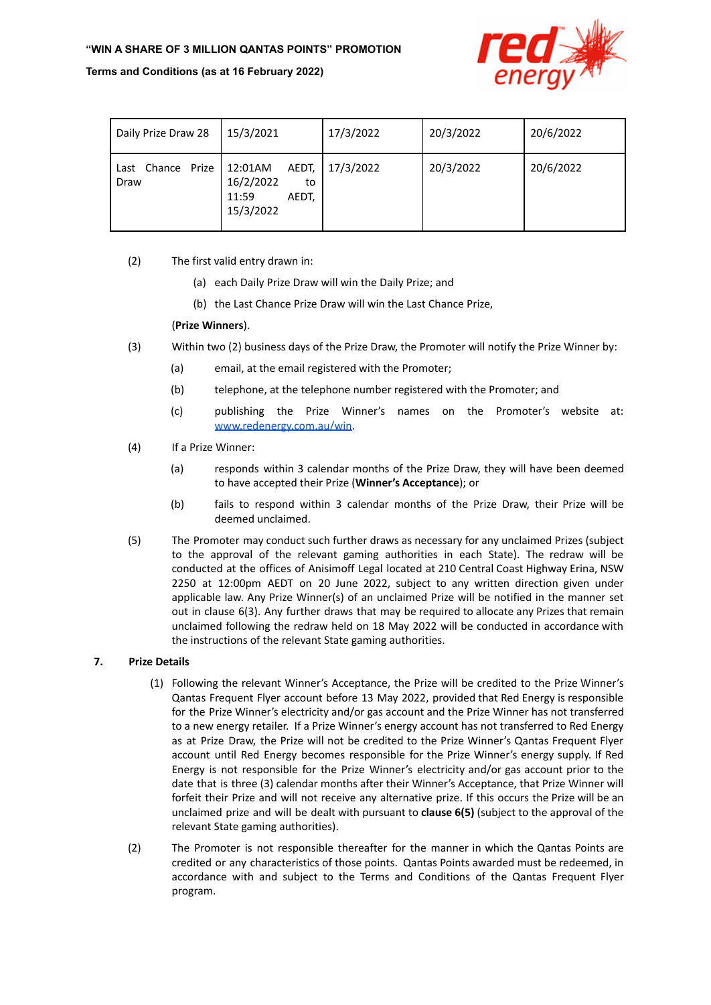### **"WIN A SHARE OF 3 MILLION QANTAS POINTS" PROMOTION**

### **Terms and Conditions (as at 16 February 2022)**



| Daily Prize Draw 28       | 15/3/2021                                                          | 17/3/2022 | 20/3/2022 | 20/6/2022 |
|---------------------------|--------------------------------------------------------------------|-----------|-----------|-----------|
| Last Chance Prize<br>Draw | AEDT,<br>12:01AM<br>16/2/2022<br>to<br>11:59<br>AEDT.<br>15/3/2022 | 17/3/2022 | 20/3/2022 | 20/6/2022 |

- (2) The first valid entry drawn in:
	- (a) each Daily Prize Draw will win the Daily Prize; and
	- (b) the Last Chance Prize Draw will win the Last Chance Prize,

# (**Prize Winners**).

- (3) Within two (2) business days of the Prize Draw, the Promoter will notify the Prize Winner by:
	- (a) email, at the email registered with the Promoter;
	- (b) telephone, at the telephone number registered with the Promoter; and
	- (c) publishing the Prize Winner's names on the Promoter's website at: [www.redenergy.com.au/win](http://www.redenergy.com.au/win).
- (4) If a Prize Winner:
	- (a) responds within 3 calendar months of the Prize Draw, they will have been deemed to have accepted their Prize (**Winner's Acceptance**); or
	- (b) fails to respond within 3 calendar months of the Prize Draw, their Prize will be deemed unclaimed.
- (5) The Promoter may conduct such further draws as necessary for any unclaimed Prizes (subject to the approval of the relevant gaming authorities in each State). The redraw will be conducted at the offices of Anisimoff Legal located at 210 Central Coast Highway Erina, NSW 2250 at 12:00pm AEDT on 20 June 2022, subject to any written direction given under applicable law. Any Prize Winner(s) of an unclaimed Prize will be notified in the manner set out in clause 6(3). Any further draws that may be required to allocate any Prizes that remain unclaimed following the redraw held on 18 May 2022 will be conducted in accordance with the instructions of the relevant State gaming authorities.

## **7. Prize Details**

- (1) Following the relevant Winner's Acceptance, the Prize will be credited to the Prize Winner's Qantas Frequent Flyer account before 13 May 2022, provided that Red Energy is responsible for the Prize Winner's electricity and/or gas account and the Prize Winner has not transferred to a new energy retailer. If a Prize Winner's energy account has not transferred to Red Energy as at Prize Draw, the Prize will not be credited to the Prize Winner's Qantas Frequent Flyer account until Red Energy becomes responsible for the Prize Winner's energy supply. If Red Energy is not responsible for the Prize Winner's electricity and/or gas account prior to the date that is three (3) calendar months after their Winner's Acceptance, that Prize Winner will forfeit their Prize and will not receive any alternative prize. If this occurs the Prize will be an unclaimed prize and will be dealt with pursuant to **clause 6(5)** (subject to the approval of the relevant State gaming authorities).
- (2) The Promoter is not responsible thereafter for the manner in which the Qantas Points are credited or any characteristics of those points. Qantas Points awarded must be redeemed, in accordance with and subject to the Terms and Conditions of the Qantas Frequent Flyer program.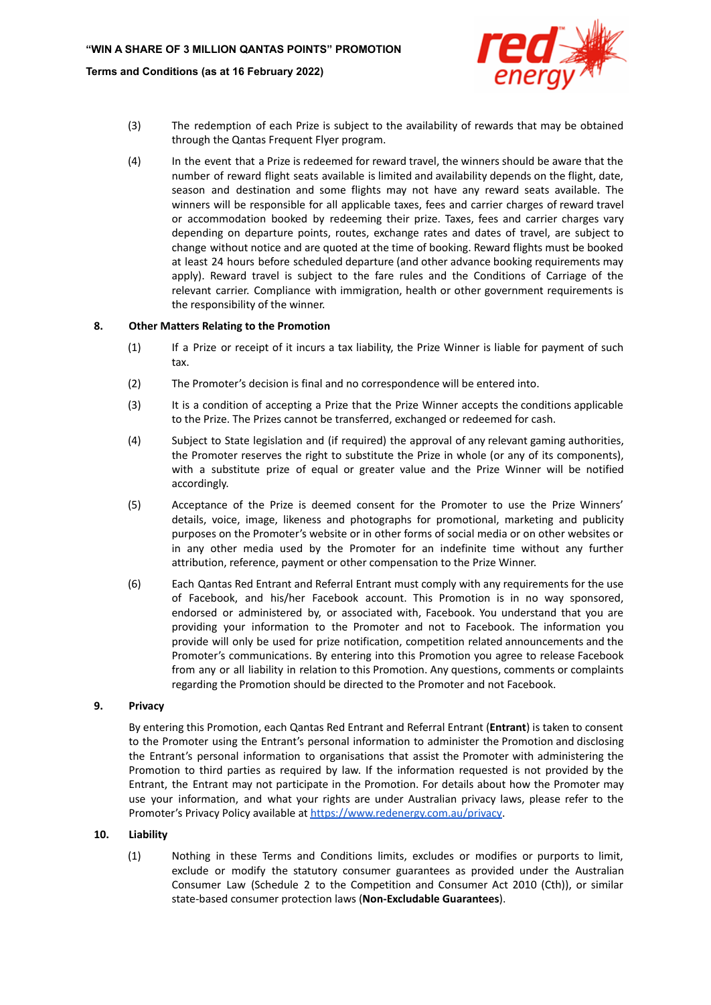

- (3) The redemption of each Prize is subject to the availability of rewards that may be obtained through the Qantas Frequent Flyer program.
- (4) In the event that a Prize is redeemed for reward travel, the winners should be aware that the number of reward flight seats available is limited and availability depends on the flight, date, season and destination and some flights may not have any reward seats available. The winners will be responsible for all applicable taxes, fees and carrier charges of reward travel or accommodation booked by redeeming their prize. Taxes, fees and carrier charges vary depending on departure points, routes, exchange rates and dates of travel, are subject to change without notice and are quoted at the time of booking. Reward flights must be booked at least 24 hours before scheduled departure (and other advance booking requirements may apply). Reward travel is subject to the fare rules and the Conditions of Carriage of the relevant carrier. Compliance with immigration, health or other government requirements is the responsibility of the winner.

### **8. Other Matters Relating to the Promotion**

- (1) If a Prize or receipt of it incurs a tax liability, the Prize Winner is liable for payment of such tax.
- (2) The Promoter's decision is final and no correspondence will be entered into.
- (3) It is a condition of accepting a Prize that the Prize Winner accepts the conditions applicable to the Prize. The Prizes cannot be transferred, exchanged or redeemed for cash.
- (4) Subject to State legislation and (if required) the approval of any relevant gaming authorities, the Promoter reserves the right to substitute the Prize in whole (or any of its components), with a substitute prize of equal or greater value and the Prize Winner will be notified accordingly.
- (5) Acceptance of the Prize is deemed consent for the Promoter to use the Prize Winners' details, voice, image, likeness and photographs for promotional, marketing and publicity purposes on the Promoter's website or in other forms of social media or on other websites or in any other media used by the Promoter for an indefinite time without any further attribution, reference, payment or other compensation to the Prize Winner.
- (6) Each Qantas Red Entrant and Referral Entrant must comply with any requirements for the use of Facebook, and his/her Facebook account. This Promotion is in no way sponsored, endorsed or administered by, or associated with, Facebook. You understand that you are providing your information to the Promoter and not to Facebook. The information you provide will only be used for prize notification, competition related announcements and the Promoter's communications. By entering into this Promotion you agree to release Facebook from any or all liability in relation to this Promotion. Any questions, comments or complaints regarding the Promotion should be directed to the Promoter and not Facebook.

#### **9. Privacy**

By entering this Promotion, each Qantas Red Entrant and Referral Entrant (**Entrant**) is taken to consent to the Promoter using the Entrant's personal information to administer the Promotion and disclosing the Entrant's personal information to organisations that assist the Promoter with administering the Promotion to third parties as required by law. If the information requested is not provided by the Entrant, the Entrant may not participate in the Promotion. For details about how the Promoter may use your information, and what your rights are under Australian privacy laws, please refer to the Promoter's Privacy Policy available at <https://www.redenergy.com.au/privacy>.

#### **10. Liability**

(1) Nothing in these Terms and Conditions limits, excludes or modifies or purports to limit, exclude or modify the statutory consumer guarantees as provided under the Australian Consumer Law (Schedule 2 to the Competition and Consumer Act 2010 (Cth)), or similar state-based consumer protection laws (**Non-Excludable Guarantees**).